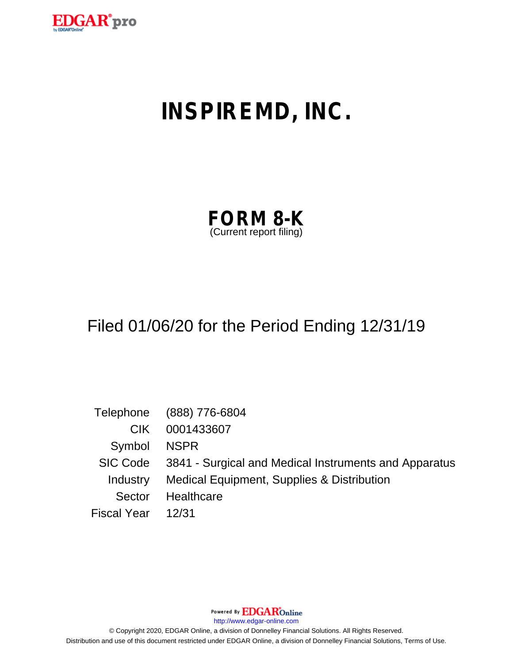

# **INSPIREMD, INC.**

| <b>FORM 8-K</b>         |  |
|-------------------------|--|
| (Current report filing) |  |

# Filed 01/06/20 for the Period Ending 12/31/19

|                    | Telephone (888) 776-6804                                       |
|--------------------|----------------------------------------------------------------|
| CIK.               | 0001433607                                                     |
| Symbol NSPR        |                                                                |
|                    | SIC Code 3841 - Surgical and Medical Instruments and Apparatus |
| Industry           | Medical Equipment, Supplies & Distribution                     |
| Sector             | Healthcare                                                     |
| Fiscal Year  12/31 |                                                                |

Powered By **EDGAR**Online

http://www.edgar-online.com

© Copyright 2020, EDGAR Online, a division of Donnelley Financial Solutions. All Rights Reserved. Distribution and use of this document restricted under EDGAR Online, a division of Donnelley Financial Solutions, Terms of Use.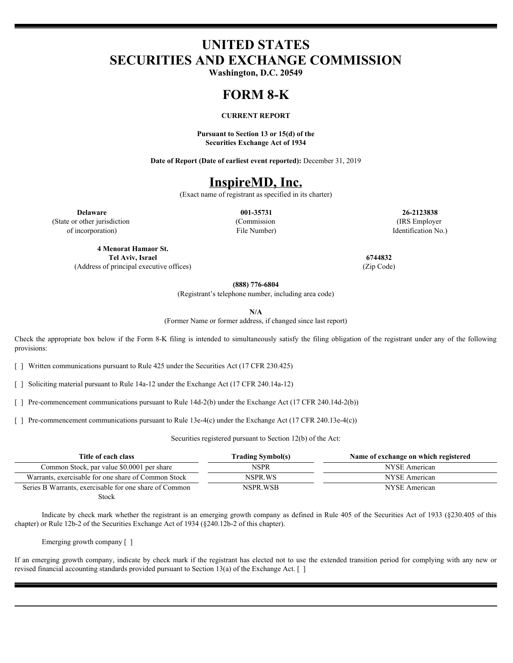# **UNITED STATES SECURITIES AND EXCHANGE COMMISSION**

**Washington, D.C. 20549**

## **FORM 8-K**

#### **CURRENT REPORT**

**Pursuant to Section 13 or 15(d) of the Securities Exchange Act of 1934**

**Date of Report (Date of earliest event reported):** December 31, 2019

## **InspireMD, Inc.**

(Exact name of registrant as specified in its charter)

(State or other jurisdiction of incorporation)

(Commission File Number)

**Delaware 001-35731 26-2123838** (IRS Employer Identification No.)

**4 Menorat Hamaor St. Tel Aviv, Israel 6744832** (Address of principal executive offices) (Zip Code)

**(888) 776-6804**

(Registrant's telephone number, including area code)

**N/A**

(Former Name or former address, if changed since last report)

Check the appropriate box below if the Form 8-K filing is intended to simultaneously satisfy the filing obligation of the registrant under any of the following provisions:

[ ] Written communications pursuant to Rule 425 under the Securities Act (17 CFR 230.425)

[ ] Soliciting material pursuant to Rule 14a-12 under the Exchange Act (17 CFR 240.14a-12)

[ ] Pre-commencement communications pursuant to Rule 14d-2(b) under the Exchange Act (17 CFR 240.14d-2(b))

[ ] Pre-commencement communications pursuant to Rule 13e-4(c) under the Exchange Act (17 CFR 240.13e-4(c))

Securities registered pursuant to Section 12(b) of the Act:

| Title of each class                                    | Trading Symbol(s) | Name of exchange on which registered |
|--------------------------------------------------------|-------------------|--------------------------------------|
| Common Stock, par value \$0.0001 per share             | <b>NSPR</b>       | NYSE American                        |
| Warrants, exercisable for one share of Common Stock    | NSPR.WS           | NYSE American                        |
| Series B Warrants, exercisable for one share of Common | NSPR.WSB          | NYSE American                        |
| <b>Stock</b>                                           |                   |                                      |

Indicate by check mark whether the registrant is an emerging growth company as defined in Rule 405 of the Securities Act of 1933 (§230.405 of this chapter) or Rule 12b-2 of the Securities Exchange Act of 1934 (§240.12b-2 of this chapter).

Emerging growth company [ ]

If an emerging growth company, indicate by check mark if the registrant has elected not to use the extended transition period for complying with any new or revised financial accounting standards provided pursuant to Section 13(a) of the Exchange Act.  $\lceil \ \rceil$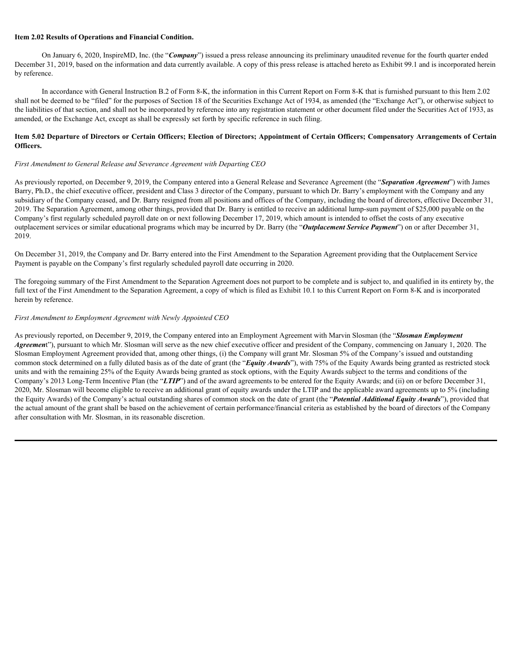#### **Item 2.02 Results of Operations and Financial Condition.**

On January 6, 2020, InspireMD, Inc. (the "*Company*") issued a press release announcing its preliminary unaudited revenue for the fourth quarter ended December 31, 2019, based on the information and data currently available. A copy of this press release is attached hereto as Exhibit 99.1 and is incorporated herein by reference.

In accordance with General Instruction B.2 of Form 8-K, the information in this Current Report on Form 8-K that is furnished pursuant to this Item 2.02 shall not be deemed to be "filed" for the purposes of Section 18 of the Securities Exchange Act of 1934, as amended (the "Exchange Act"), or otherwise subject to the liabilities of that section, and shall not be incorporated by reference into any registration statement or other document filed under the Securities Act of 1933, as amended, or the Exchange Act, except as shall be expressly set forth by specific reference in such filing.

#### **Item 5.02 Departure of Directors or Certain Officers; Election of Directors; Appointment of Certain Officers; Compensatory Arrangements of Certain Officers.**

#### *First Amendment to General Release and Severance Agreement with Departing CEO*

As previously reported, on December 9, 2019, the Company entered into a General Release and Severance Agreement (the "*Separation Agreement*") with James Barry, Ph.D., the chief executive officer, president and Class 3 director of the Company, pursuant to which Dr. Barry's employment with the Company and any subsidiary of the Company ceased, and Dr. Barry resigned from all positions and offices of the Company, including the board of directors, effective December 31, 2019. The Separation Agreement, among other things, provided that Dr. Barry is entitled to receive an additional lump-sum payment of \$25,000 payable on the Company's first regularly scheduled payroll date on or next following December 17, 2019, which amount is intended to offset the costs of any executive outplacement services or similar educational programs which may be incurred by Dr. Barry (the "*Outplacement Service Payment*") on or after December 31, 2019.

On December 31, 2019, the Company and Dr. Barry entered into the First Amendment to the Separation Agreement providing that the Outplacement Service Payment is payable on the Company's first regularly scheduled payroll date occurring in 2020.

The foregoing summary of the First Amendment to the Separation Agreement does not purport to be complete and is subject to, and qualified in its entirety by, the full text of the First Amendment to the Separation Agreement, a copy of which is filed as Exhibit 10.1 to this Current Report on Form 8-K and is incorporated herein by reference.

#### *First Amendment to Employment Agreement with Newly Appointed CEO*

As previously reported, on December 9, 2019, the Company entered into an Employment Agreement with Marvin Slosman (the "*Slosman Employment Agreemen*t"), pursuant to which Mr. Slosman will serve as the new chief executive officer and president of the Company, commencing on January 1, 2020. The Slosman Employment Agreement provided that, among other things, (i) the Company will grant Mr. Slosman 5% of the Company's issued and outstanding common stock determined on a fully diluted basis as of the date of grant (the "*Equity Awards*"), with 75% of the Equity Awards being granted as restricted stock units and with the remaining 25% of the Equity Awards being granted as stock options, with the Equity Awards subject to the terms and conditions of the Company's 2013 Long-Term Incentive Plan (the "*LTIP*") and of the award agreements to be entered for the Equity Awards; and (ii) on or before December 31, 2020, Mr. Slosman will become eligible to receive an additional grant of equity awards under the LTIP and the applicable award agreements up to 5% (including the Equity Awards) of the Company's actual outstanding shares of common stock on the date of grant (the "*Potential Additional Equity Awards*"), provided that the actual amount of the grant shall be based on the achievement of certain performance/financial criteria as established by the board of directors of the Company after consultation with Mr. Slosman, in its reasonable discretion.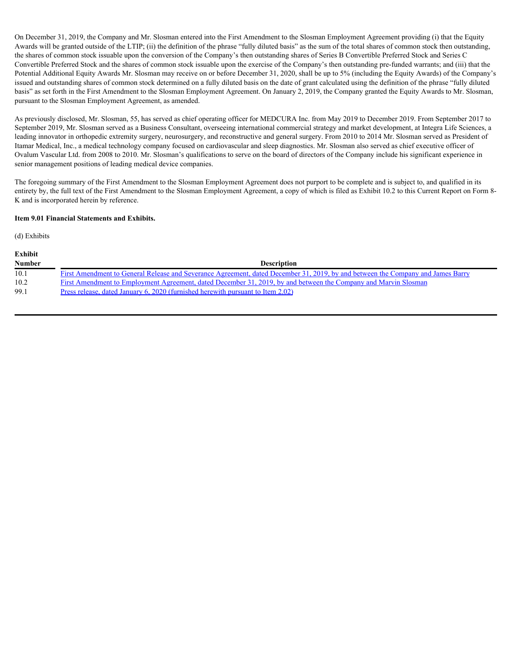On December 31, 2019, the Company and Mr. Slosman entered into the First Amendment to the Slosman Employment Agreement providing (i) that the Equity Awards will be granted outside of the LTIP; (ii) the definition of the phrase "fully diluted basis" as the sum of the total shares of common stock then outstanding, the shares of common stock issuable upon the conversion of the Company's then outstanding shares of Series B Convertible Preferred Stock and Series C Convertible Preferred Stock and the shares of common stock issuable upon the exercise of the Company's then outstanding pre-funded warrants; and (iii) that the Potential Additional Equity Awards Mr. Slosman may receive on or before December 31, 2020, shall be up to 5% (including the Equity Awards) of the Company's issued and outstanding shares of common stock determined on a fully diluted basis on the date of grant calculated using the definition of the phrase "fully diluted basis" as set forth in the First Amendment to the Slosman Employment Agreement. On January 2, 2019, the Company granted the Equity Awards to Mr. Slosman, pursuant to the Slosman Employment Agreement, as amended.

As previously disclosed, Mr. Slosman, 55, has served as chief operating officer for MEDCURA Inc. from May 2019 to December 2019. From September 2017 to September 2019, Mr. Slosman served as a Business Consultant, overseeing international commercial strategy and market development, at Integra Life Sciences, a leading innovator in orthopedic extremity surgery, neurosurgery, and reconstructive and general surgery. From 2010 to 2014 Mr. Slosman served as President of Itamar Medical, Inc., a medical technology company focused on cardiovascular and sleep diagnostics. Mr. Slosman also served as chief executive officer of Ovalum Vascular Ltd. from 2008 to 2010. Mr. Slosman's qualifications to serve on the board of directors of the Company include his significant experience in senior management positions of leading medical device companies.

The foregoing summary of the First Amendment to the Slosman Employment Agreement does not purport to be complete and is subject to, and qualified in its entirety by, the full text of the First Amendment to the Slosman Employment Agreement, a copy of which is filed as Exhibit 10.2 to this Current Report on Form 8-K and is incorporated herein by reference.

#### **Item 9.01 Financial Statements and Exhibits.**

(d) Exhibits

| <b>Exhibit</b> |                                                                                                                                 |
|----------------|---------------------------------------------------------------------------------------------------------------------------------|
| <b>Number</b>  | <b>Description</b>                                                                                                              |
| 10.1           | First Amendment to General Release and Severance Agreement, dated December 31, 2019, by and between the Company and James Barry |
| 10.2           | First Amendment to Employment Agreement, dated December 31, 2019, by and between the Company and Maryin Slosman                 |
| 99.1           | Press release, dated January 6, 2020 (furnished herewith pursuant to Item 2.02)                                                 |
|                |                                                                                                                                 |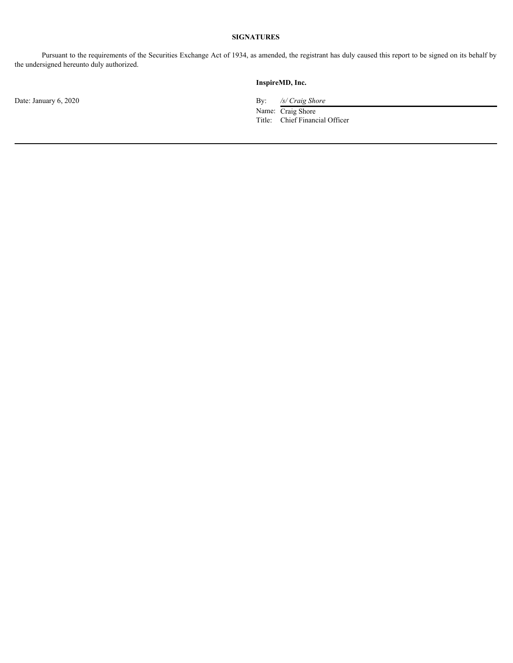#### **SIGNATURES**

Pursuant to the requirements of the Securities Exchange Act of 1934, as amended, the registrant has duly caused this report to be signed on its behalf by the undersigned hereunto duly authorized.

#### **InspireMD, Inc.**

Date: January 6, 2020 By: */s/ Craig Shore* 

Name: Craig Shore Title: Chief Financial Officer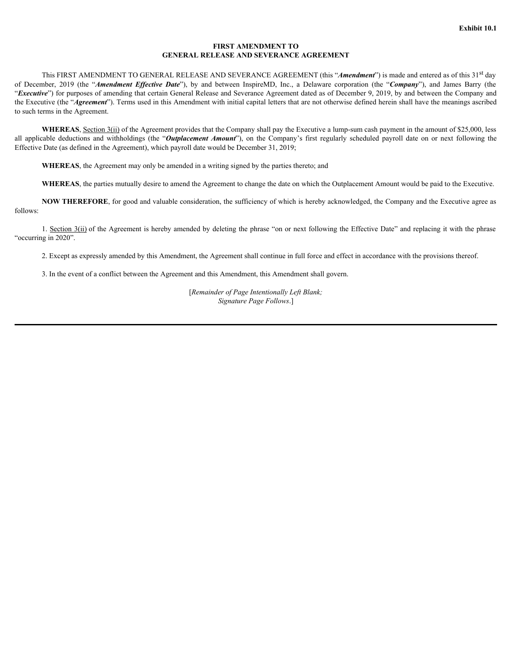#### **FIRST AMENDMENT TO GENERAL RELEASE AND SEVERANCE AGREEMENT**

This FIRST AMENDMENT TO GENERAL RELEASE AND SEVERANCE AGREEMENT (this "*Amendment*") is made and entered as of this 31<sup>st</sup> day **EXERT AMENDMENT TO**<br> **CENERAL RELEASE AND SEVERANCE AGREEMENT**<br>
This FIRST AMENDMENT TO GENERAL RELEASE AND SEVERANCE AGREEMENT (this "*Amendment*") is made and entered as of this 31<sup>8</sup><br>
of December, 2019 (the "*Amendment* **EXAMPLE CONDINENT TO**<br> **EXAMPLE AND SEVERANCE AGREEMENT**<br> **EFFECT AND SEVERANCE AGREEMENT**<br> **Effective Date**"), by and between InspireMD, Inc., a Delaware corporation (the "*Company*"), and James Barry (the that certain G **EXAMENT AMENDMENT TO**<br> **DATE AND SEVERANCE AGREEMENT** (this "*Amendment*") is made and entered as of this 31<sup>st</sup> day<br> **Date**"), by and between InspireMD, Inc., a Delaware corporation (the "*Company*"), and James Barry (th "*Executive*") for purposes of amending that certain General Release and Severance Agreement dated as of December 9, 2019, by and between the Company and the Executive (the "*Agreement*"). Terms used in this Amendment with initial capital letters that are not otherwise defined herein shall have the meanings ascribed to such terms in the Agreement. **EXERT ANENDMENT TO GENERAL RELEASE AND SEVERANCE AGREEMENT**<br>
This FIRST AMENDMENT TO GENERAL RELEASE AND SEVERANCE AGREEMENT<br>
of December, 2019 (the "*Agreement Effective Date*"), by and between InspireMD, Inc., a Delawar **EXAMENT TO**<br>**AMD SEVERANCE AGREEMENT**<br>**AND SEVERANCE AGREEMENT** (this "*Amendment*") is made and entered as of this 31<sup>st</sup> day<br>between InspireMD, Inc., a Delaware corporation (the "*Company*"), and James Barry (the<br>see an

<span id="page-6-0"></span>**WHEREAS**, Section 3(ii) of the Agreement provides that the Company shall pay the Executive a lump-sum cash payment in the amount of \$25,000, less all applicable deductions and withholdings (the "**Outplacement Amount**"), o Effective Date (as defined in the Agreement), which payroll date would be December 31, 2019;

**WHEREAS**, the Agreement may only be amended in a writing signed by the parties thereto; and

**WHEREAS**, the parties mutually desire to amend the Agreement to change the date on which the Outplacement Amount would be paid to the Executive.

**NOW THEREFORE**, for good and valuable consideration, the sufficiency of which is hereby acknowledged, the Company and the Executive agree as follows:

1. Section  $3(ii)$  of the Agreement is hereby amended by deleting the phrase "on or next following the Effective Date" and replacing it with the phrase "occurring in 2020".

2. Except as expressly amended by this Amendment, the Agreement shall continue in full force and effect in accordance with the provisions thereof.

3. In the event of a conflict between the Agreement and this Amendment, this Amendment shall govern.

[*Remainder of Page Intentionally Left Blank; Signature Page Follows*.]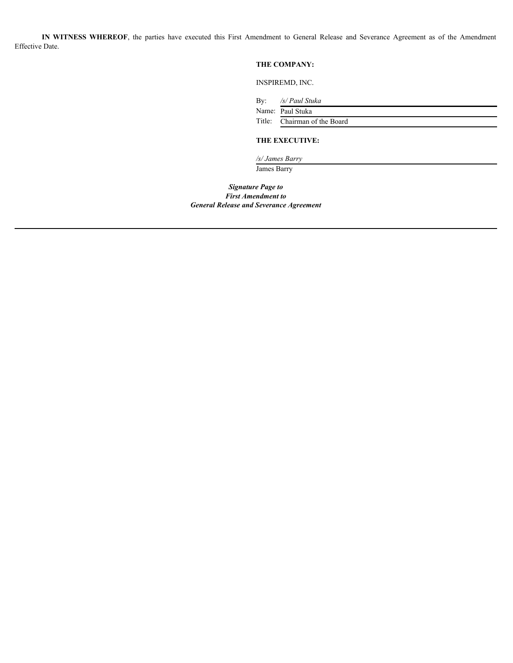**IN WITNESS WHEREOF**, the parties have executed this First Amendment to General Release and Severance Agreement as of the Amendment<br> **INEOMPANY:**<br>
INSPIREMD, INC.<br>
By: /s/Paul Stuka Effective Date.

#### **THE COMPANY:**

INSPIREMD, INC.

| By: | /s/ Paul Stuka   |
|-----|------------------|
|     | Name: Daul Ctube |

| iname. | - Paul Stuka          |
|--------|-----------------------|
| Title: | Chairman of the Board |

#### **THE EXECUTIVE:**

*/s/ James Barry* James Barry

*Signature Page to First Amendment to General Release and Severance Agreement*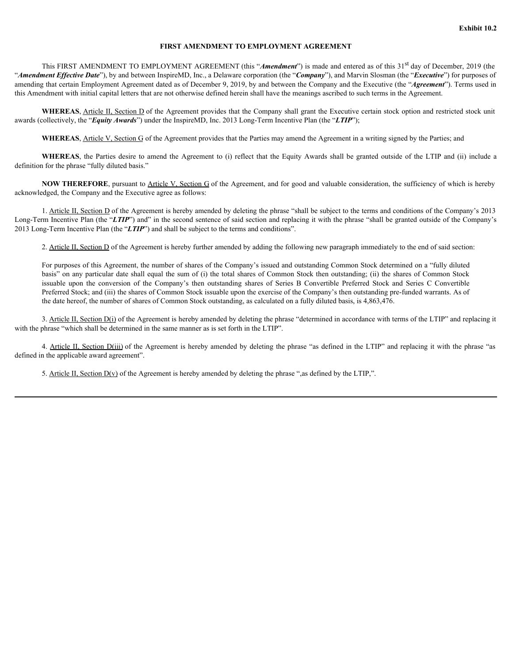#### **FIRST AMENDMENT TO EMPLOYMENT AGREEMENT**

This FIRST AMENDMENT TO EMPLOYMENT AGREEMENT (this "*Amendment*") is made and entered as of this 31st day of December, 2019 (the "*Amendment Effective Date*"), by and between InspireMD, Inc., a Delaware corporation (the "*Company*"), and Marvin Slosman (the "*Executive*") for purposes of amending that certain Employment Agreement dated as of December 9, 2019, by and between the Company and the Executive (the "*Agreement*"). Terms used in this Amendment with initial capital letters that are not otherwise defined herein shall have the meanings ascribed to such terms in the Agreement. **EXERUMENT IN THEST AMENDMENT TO EMPLOYMENT AGREEMENT**<br> **WHEREAS**, THEST AMENDMENT TO EMPLOYMENT AGREEMENT (this "*Amendment*") is made and entered as of this 31<sup>86</sup> day of December, 2019 (the *the the Execution Company*).

WHEREAS, Article II, Section D of the Agreement provides that the Company shall grant the Executive certain stock option and restricted stock unit awards (collectively, the "*Equity Awards*") under the InspireMD, Inc. 2013 Long-Term Incentive Plan (the "*LTIP*");

WHEREAS, Article V, Section G of the Agreement provides that the Parties may amend the Agreement in a writing signed by the Parties; and

definition for the phrase "fully diluted basis."

**NOW THEREFORE**, pursuant to Article V, Section G of the Agreement, and for good and valuable consideration, the sufficiency of which is hereby acknowledged, the Company and the Executive agree as follows:

1. Article II, Section D of the Agreement is hereby amended by deleting the phrase "shall be subject to the terms and conditions of the Company's 2013 Long-Term Incentive Plan (the "LTIP") and" in the second sentence of said section and replacing it with the phrase "shall be granted outside of the Company's 2013 Long-Term Incentive Plan (the "*LTIP*") and shall be subject to the terms and conditions".

2. Article II, Section D of the Agreement is hereby further amended by adding the following new paragraph immediately to the end of said section:

<span id="page-9-0"></span>For purposes of this Agreement, the number of shares of the Company's issued and outstanding Common Stock determined on a "fully diluted basis" on any particular date shall equal the sum of (i) the total shares of Common Stock then outstanding; (ii) the shares of Common Stock **EVALUATE CONSTRAINS (SERIMATE AND STANDAPT TO ENTHOYMENT AGRIENT INTO THE COMPANY CONSTRAINS (SERIE AND STAND TO A CONSTRAINT) (SERIE AND STAND TO A CONSTRAINT) (SERIE AND STAND TO A CONSTRAINT) (SERIE AND STAND TO A CON** Preferred Stock; and (iii) the shares of Common Stock issuable upon the exercise of the Company's then outstanding pre-funded warrants. As of the date hereof, the number of shares of Common Stock outstanding, as calculated on a fully diluted basis, is 4,863,476.

3. Article II, Section D(i) of the Agreement is hereby amended by deleting the phrase "determined in accordance with terms of the LTIP" and replacing it with the phrase "which shall be determined in the same manner as is set forth in the LTIP".

4. Article II, Section D(iii) of the Agreement is hereby amended by deleting the phrase "as defined in the LTIP" and replacing it with the phrase "as defined in the applicable award agreement".

5. Article II, Section  $D(y)$  of the Agreement is hereby amended by deleting the phrase ", as defined by the LTIP,".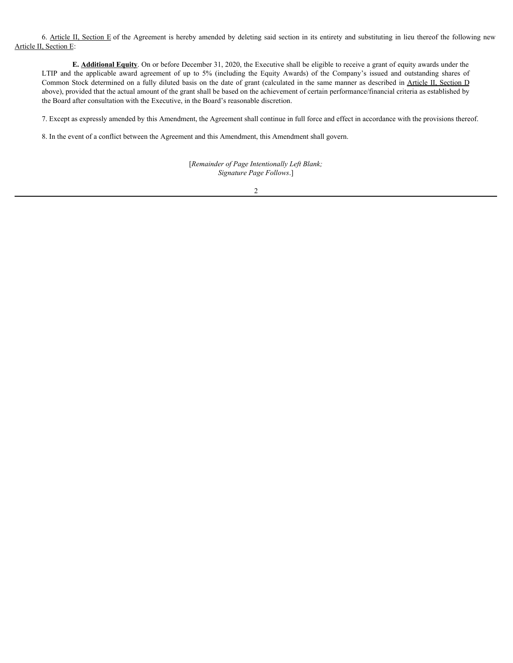6. Article II, Section E of the Agreement is hereby amended by deleting said section in its entirety and substituting in lieu thereof the following new Article II, Section E:

**E. Additional Equity**. On or before December 31, 2020, the Executive shall be eligible to receive a grant of equity awards under the 6. Article II. Section E of the Agreement is hereby amended by deleting said section in its entirety and substituting in lieu thereof the following new Section E:<br>
E. Additional Equity. On or before December 31, 2020, the Common Stock determined on a fully diluted basis on the date of grant (calculated in the same manner as described in Article II, Section D above), provided that the actual amount of the grant shall be based on the achievement of certain performance/financial criteria as established by the Board after consultation with the Executive, in the Board's reasonable discretion.

7. Except as expressly amended by this Amendment, the Agreement shall continue in full force and effect in accordance with the provisions thereof.

8. In the event of a conflict between the Agreement and this Amendment, this Amendment shall govern.

[*Remainder of Page Intentionally Left Blank; Signature Page Follows*.]

2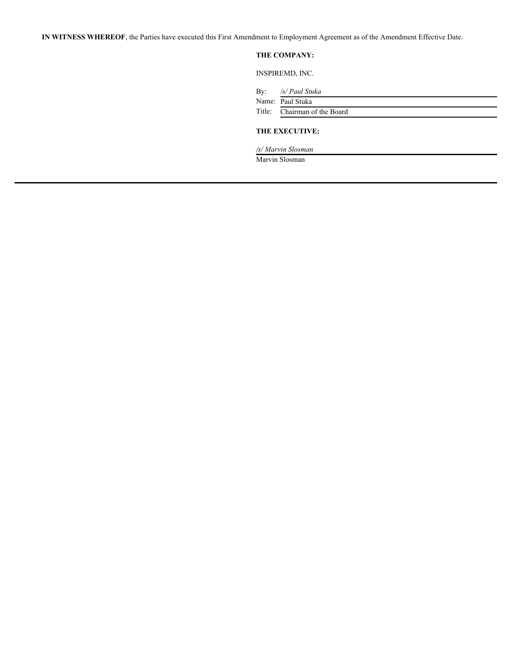**IN WITNESS WHEREOF**, the Parties have executed this First Amendment to Employment Agreement as of the Amendment Effective Date.

#### **THE COMPANY:**

INSPIREMD, INC.

By: */s/ Paul Stuka*

|        | Name: Paul Stuka      |
|--------|-----------------------|
| Title: | Chairman of the Board |

#### **THE EXECUTIVE:**

*/s/ Marvin Slosman*

Marvin Slosman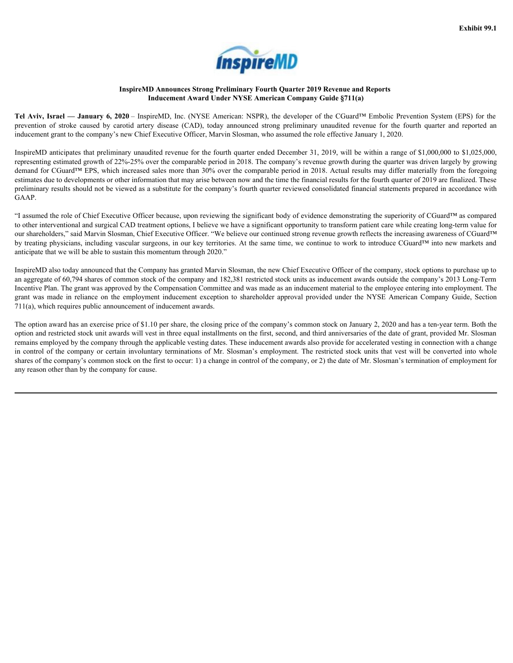

#### **InspireMD Announces Strong Preliminary Fourth Quarter 2019 Revenue and Reports Inducement Award Under NYSE American Company Guide §711(a)**

<span id="page-13-0"></span>**Tel Aviv, Israel — January 6, 2020** – InspireMD, Inc. (NYSE American: NSPR), the developer of the CGuard™ Embolic Prevention System (EPS) for the inducement grant to the company's new Chief Executive Officer, Marvin Slosman, who assumed the role effective January 1, 2020.

**Prevention Strong Control Control Control Control Control Control Control Control Control Control Control Control Control Control Control Control Control Control Control Control Control Control Control Control Control Co** InspireMD anticipates that preliminary unaudited revenue for the fourth quarter ended December 31, 2019, will be within a range of \$1,000,000 to \$1,025,000, representing estimated growth of 22%-25% over the comparable period in 2018. The company's revenue growth during the quarter was driven largely by growing demand for CGuard™ EPS, which increased sales more than 30% over the comparable period in 2018. Actual results may differ materially from the foregoing estimates due to developments or other information that may arise between now and the time the financial results for the fourth quarter of 2019 are finalized. These preliminary results should not be viewed as a substitute for the company's fourth quarter reviewed consolidated financial statements prepared in accordance with GAAP. Facture 11. Event of the Figure 11. Event of the Company of the Company of Control Persons and Reports.<br>
The Asis, Insel — January 6, 3000 – Institute Offices and the WSE American Company Guide (Figure 120) Revenue and Re

"I assumed the role of Chief Executive Officer because, upon reviewing the significant body of evidence demonstrating the superiority of CGuard™ as compared to other interventional and surgical CAD treatment options, I believe we have a significant opportunity to transform patient care while creating long-term value for our shareholders," said Marvin Slosman, Chief Executive Officer. "We believe our continued strong revenue growth reflects the increasing awareness of CGuard™ by treating physicians, including vascular surgeons, in our key territories. At the same time, we continue to work to introduce CGuard™ into new markets and anticipate that we will be able to sustain this momentum through 2020."

InspireMD also today announced that the Company has granted Marvin Slosman, the new Chief Executive Officer of the company, stock options to purchase up to an aggregate of 60,794 shares of common stock of the company and 182,381 restricted stock units as inducement awards outside the company's 2013 Long-Term Incentive Plan. The grant was approved by the Compensation Committee and was made as an inducement material to the employee entering into employment. The 711(a), which requires public announcement of inducement awards.

The option award has an exercise price of \$1.10 per share, the closing price of the company's common stock on January 2, 2020 and has a ten-year term. Both the option and restricted stock unit awards will vest in three equal installments on the first, second, and third anniversaries of the date of grant, provided Mr. Slosman remains employed by the company through the applicable vesting dates. These inducement awards also provide for accelerated vesting in connection with a change in control of the company or certain involuntary terminations of Mr. Slosman's employment. The restricted stock units that vest will be converted into whole shares of the company's common stock on the first to occur: 1) a change in control of the company, or 2) the date of Mr. Slosman's termination of employment for any reason other than by the company for cause.